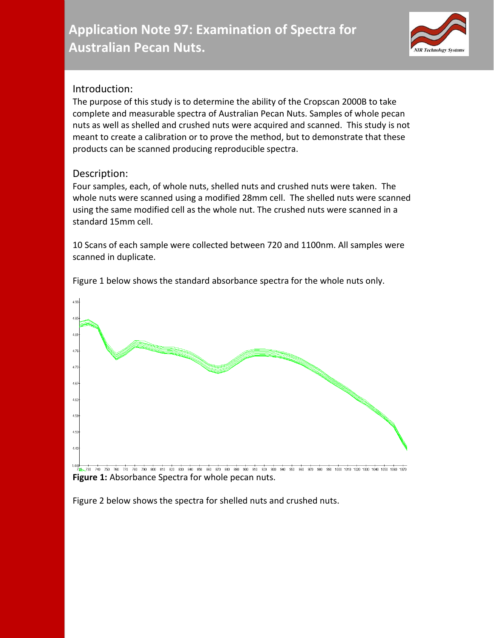## **Application Note 97: Examination of Spectra for Australian Pecan Nuts.**



## Introduction:

The purpose of this study is to determine the ability of the Cropscan 2000B to take complete and measurable spectra of Australian Pecan Nuts. Samples of whole pecan nuts as well as shelled and crushed nuts were acquired and scanned. This study is not meant to create a calibration or to prove the method, but to demonstrate that these products can be scanned producing reproducible spectra.

## Description:

Four samples, each, of whole nuts, shelled nuts and crushed nuts were taken. The whole nuts were scanned using a modified 28mm cell. The shelled nuts were scanned using the same modified cell as the whole nut. The crushed nuts were scanned in a standard 15mm cell.

10 Scans of each sample were collected between 720 and 1100nm. All samples were scanned in duplicate.



Figure 1 below shows the standard absorbance spectra for the whole nuts only.

**Figure 1:** Absorbance Spectra for whole pecan nuts.

Figure 2 below shows the spectra for shelled nuts and crushed nuts.